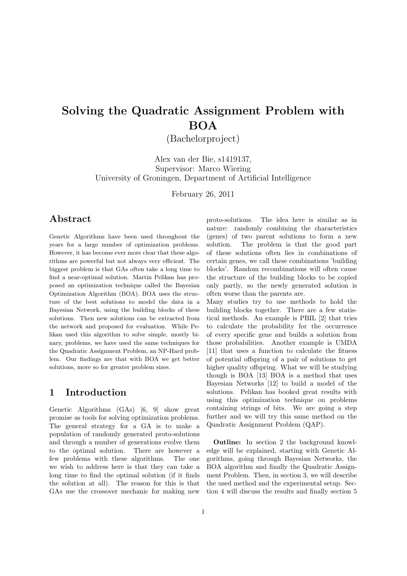# Solving the Quadratic Assignment Problem with BOA

(Bachelorproject)

Alex van der Bie, s1419137, Supervisor: Marco Wiering University of Groningen, Department of Artificial Intelligence

February 26, 2011

## Abstract

Genetic Algorithms have been used throughout the years for a large number of optimization problems. However, it has become ever more clear that these algorithms are powerful but not always very efficient. The biggest problem is that GAs often take a long time to find a near-optimal solution. Martin Pelikan has proposed an optimization technique called the Bayesian Optimization Algorithm (BOA). BOA uses the structure of the best solutions to model the data in a Bayesian Network, using the building blocks of these solutions. Then new solutions can be extracted from the network and proposed for evaluation. While Pelikan used this algorithm to solve simple, mostly binary, problems, we have used the same techniques for the Quadratic Assignment Problem, an NP-Hard problem. Our findings are that with BOA we get better solutions, more so for greater problem sizes.

## 1 Introduction

Genetic Algorithms (GAs) [6, 9] show great promise as tools for solving optimization problems. The general strategy for a GA is to make a population of randomly generated proto-solutions and through a number of generations evolve them to the optimal solution. There are however a few problems with these algorithms. The one we wish to address here is that they can take a long time to find the optimal solution (if it finds the solution at all). The reason for this is that GAs use the crossover mechanic for making new

proto-solutions. The idea here is similar as in nature: randomly combining the characteristics (genes) of two parent solutions to form a new solution. The problem is that the good part of these solutions often lies in combinations of certain genes, we call these combinations 'building blocks'. Random recombinations will often cause the structure of the building blocks to be copied only partly, so the newly generated solution is often worse than the parents are.

Many studies try to use methods to hold the building blocks together. There are a few statistical methods. An example is PBIL [2] that tries to calculate the probability for the occurrence of every specific gene and builds a solution from those probabilities. Another example is UMDA [11] that uses a function to calculate the fitness of potential offspring of a pair of solutions to get higher quality offspring. What we will be studying though is BOA [13] BOA is a method that uses Bayesian Networks [12] to build a model of the solutions. Pelikan has booked great results with using this optimization technique on problems containing strings of bits. We are going a step further and we will try this same method on the Quadratic Assignment Problem (QAP).

Outline: In section 2 the background knowledge will be explained, starting with Genetic Algorithms, going through Bayesian Networks, the BOA algorithm and finally the Quadratic Assignment Problem. Then, in section 3, we will describe the used method and the experimental setup. Section 4 will discuss the results and finally section 5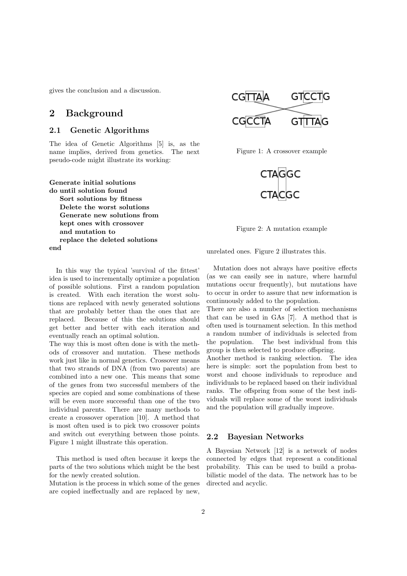gives the conclusion and a discussion.

## 2 Background

#### 2.1 Genetic Algorithms

The idea of Genetic Algorithms [5] is, as the name implies, derived from genetics. The next pseudo-code might illustrate its working:

Generate initial solutions do until solution found Sort solutions by fitness Delete the worst solutions Generate new solutions from kept ones with crossover and mutation to replace the deleted solutions end

In this way the typical 'survival of the fittest' idea is used to incrementally optimize a population of possible solutions. First a random population is created. With each iteration the worst solutions are replaced with newly generated solutions that are probably better than the ones that are replaced. Because of this the solutions should get better and better with each iteration and eventually reach an optimal solution.

The way this is most often done is with the methods of crossover and mutation. These methods work just like in normal genetics. Crossover means that two strands of DNA (from two parents) are combined into a new one. This means that some of the genes from two successful members of the species are copied and some combinations of these will be even more successful than one of the two individual parents. There are many methods to create a crossover operation [10]. A method that is most often used is to pick two crossover points and switch out everything between those points. Figure 1 might illustrate this operation.

This method is used often because it keeps the parts of the two solutions which might be the best for the newly created solution.

Mutation is the process in which some of the genes are copied ineffectually and are replaced by new,



Figure 1: A crossover example



Figure 2: A mutation example

unrelated ones. Figure 2 illustrates this.

Mutation does not always have positive effects (as we can easily see in nature, where harmful mutations occur frequently), but mutations have to occur in order to assure that new information is continuously added to the population.

There are also a number of selection mechanisms that can be used in GAs [7]. A method that is often used is tournament selection. In this method a random number of individuals is selected from the population. The best individual from this group is then selected to produce offspring.

Another method is ranking selection. The idea here is simple: sort the population from best to worst and choose individuals to reproduce and individuals to be replaced based on their individual ranks. The offspring from some of the best individuals will replace some of the worst individuals and the population will gradually improve.

#### 2.2 Bayesian Networks

A Bayesian Network [12] is a network of nodes connected by edges that represent a conditional probability. This can be used to build a probabilistic model of the data. The network has to be directed and acyclic.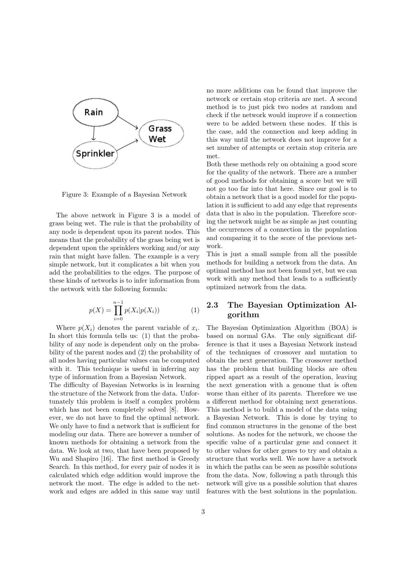

Figure 3: Example of a Bayesian Network

The above network in Figure 3 is a model of grass being wet. The rule is that the probability of any node is dependent upon its parent nodes. This means that the probability of the grass being wet is dependent upon the sprinklers working and/or any rain that might have fallen. The example is a very simple network, but it complicates a bit when you add the probabilities to the edges. The purpose of these kinds of networks is to infer information from the network with the following formula:

$$
p(X) = \prod_{i=0}^{n-1} p(X_i | p(X_i))
$$
 (1)

Where  $p(X_i)$  denotes the parent variable of  $x_i$ . In short this formula tells us: (1) that the probability of any node is dependent only on the probability of the parent nodes and (2) the probability of all nodes having particular values can be computed with it. This technique is useful in inferring any type of information from a Bayesian Network.

The difficulty of Bayesian Networks is in learning the structure of the Network from the data. Unfortunately this problem is itself a complex problem which has not been completely solved [8]. However, we do not have to find the optimal network. We only have to find a network that is sufficient for modeling our data. There are however a number of known methods for obtaining a network from the data. We look at two, that have been proposed by Wu and Shapiro [16]. The first method is Greedy Search. In this method, for every pair of nodes it is calculated which edge addition would improve the network the most. The edge is added to the network and edges are added in this same way until no more additions can be found that improve the network or certain stop criteria are met. A second method is to just pick two nodes at random and check if the network would improve if a connection were to be added between these nodes. If this is the case, add the connection and keep adding in this way until the network does not improve for a set number of attempts or certain stop criteria are met.

Both these methods rely on obtaining a good score for the quality of the network. There are a number of good methods for obtaining a score but we will not go too far into that here. Since our goal is to obtain a network that is a good model for the population it is sufficient to add any edge that represents data that is also in the population. Therefore scoring the network might be as simple as just counting the occurrences of a connection in the population and comparing it to the score of the previous network.

This is just a small sample from all the possible methods for building a network from the data. An optimal method has not been found yet, but we can work with any method that leads to a sufficiently optimized network from the data.

## 2.3 The Bayesian Optimization Algorithm

The Bayesian Optimization Algorithm (BOA) is based on normal GAs. The only significant difference is that it uses a Bayesian Network instead of the techniques of crossover and mutation to obtain the next generation. The crossover method has the problem that building blocks are often ripped apart as a result of the operation, leaving the next generation with a genome that is often worse than either of its parents. Therefore we use a different method for obtaining next generations. This method is to build a model of the data using a Bayesian Network. This is done by trying to find common structures in the genome of the best solutions. As nodes for the network, we choose the specific value of a particular gene and connect it to other values for other genes to try and obtain a structure that works well. We now have a network in which the paths can be seen as possible solutions from the data. Now, following a path through this network will give us a possible solution that shares features with the best solutions in the population.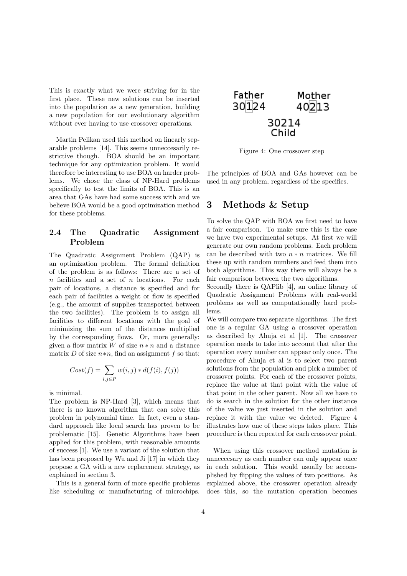This is exactly what we were striving for in the first place. These new solutions can be inserted into the population as a new generation, building a new population for our evolutionary algorithm without ever having to use crossover operations.

Martin Pelikan used this method on linearly separable problems [14]. This seems unneccesarily restrictive though. BOA should be an important technique for any optimization problem. It would therefore be interesting to use BOA on harder problems. We chose the class of NP-Hard problems specifically to test the limits of BOA. This is an area that GAs have had some success with and we believe BOA would be a good optimization method for these problems.

### 2.4 The Quadratic Assignment Problem

The Quadratic Assignment Problem (QAP) is an optimization problem. The formal definition of the problem is as follows: There are a set of  $n$  facilities and a set of  $n$  locations. For each pair of locations, a distance is specified and for each pair of facilities a weight or flow is specified (e.g., the amount of supplies transported between the two facilities). The problem is to assign all facilities to different locations with the goal of minimizing the sum of the distances multiplied by the corresponding flows. Or, more generally: given a flow matrix W of size  $n * n$  and a distance matrix D of size  $n*n$ , find an assignment f so that:

$$
Cost(f) = \sum_{i,j \in P} w(i,j) * d(f(i), f(j))
$$

is minimal.

The problem is NP-Hard [3], which means that there is no known algorithm that can solve this problem in polynomial time. In fact, even a standard approach like local search has proven to be problematic [15]. Genetic Algorithms have been applied for this problem, with reasonable amounts of success [1]. We use a variant of the solution that has been proposed by Wu and Ji [17] in which they propose a GA with a new replacement strategy, as explained in section 3.

This is a general form of more specific problems like scheduling or manufacturing of microchips.



Figure 4: One crossover step

The principles of BOA and GAs however can be used in any problem, regardless of the specifics.

## 3 Methods & Setup

To solve the QAP with BOA we first need to have a fair comparison. To make sure this is the case we have two experimental setups. At first we will generate our own random problems. Each problem can be described with two  $n * n$  matrices. We fill these up with random numbers and feed them into both algorithms. This way there will always be a fair comparison between the two algorithms.

Secondly there is QAPlib [4], an online library of Quadratic Assignment Problems with real-world problems as well as computationally hard problems.

We will compare two separate algorithms. The first one is a regular GA using a crossover operation as described by Ahuja et al [1]. The crossover operation needs to take into account that after the operation every number can appear only once. The procedure of Ahuja et al is to select two parent solutions from the population and pick a number of crossover points. For each of the crossover points, replace the value at that point with the value of that point in the other parent. Now all we have to do is search in the solution for the other instance of the value we just inserted in the solution and replace it with the value we deleted. Figure 4 illustrates how one of these steps takes place. This procedure is then repeated for each crossover point.

When using this crossover method mutation is unneccesary as each number can only appear once in each solution. This would usually be accomplished by flipping the values of two positions. As explained above, the crossover operation already does this, so the mutation operation becomes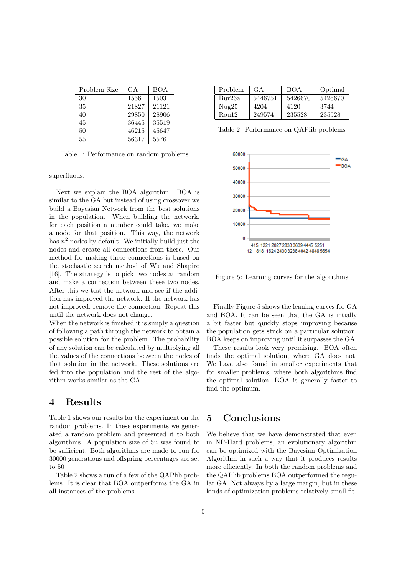| Problem Size | G A   | <b>BOA</b> |
|--------------|-------|------------|
| 30           | 15561 | 15031      |
| 35           | 21827 | 21121      |
| 40           | 29850 | 28906      |
| 45           | 36445 | 35519      |
| 50           | 46215 | 45647      |
| 55           | 56317 | 55761      |

Table 1: Performance on random problems

superfluous.

Next we explain the BOA algorithm. BOA is similar to the GA but instead of using crossover we build a Bayesian Network from the best solutions in the population. When building the network, for each position a number could take, we make a node for that position. This way, the network has  $n^2$  nodes by default. We initially build just the nodes and create all connections from there. Our method for making these connections is based on the stochastic search method of Wu and Shapiro [16]. The strategy is to pick two nodes at random and make a connection between these two nodes. After this we test the network and see if the addition has improved the network. If the network has not improved, remove the connection. Repeat this until the network does not change.

When the network is finished it is simply a question of following a path through the network to obtain a possible solution for the problem. The probability of any solution can be calculated by multiplying all the values of the connections between the nodes of that solution in the network. These solutions are fed into the population and the rest of the algorithm works similar as the GA.

## 4 Results

Table 1 shows our results for the experiment on the random problems. In these experiments we generated a random problem and presented it to both algorithms. A population size of  $5n$  was found to be sufficient. Both algorithms are made to run for 30000 generations and offspring percentages are set to 50

Table 2 shows a run of a few of the QAPlib problems. It is clear that BOA outperforms the GA in all instances of the problems.

| Problem | GA.     | <b>BOA</b> | Optimal |
|---------|---------|------------|---------|
| Bur26a  | 5446751 | 5426670    | 5426670 |
| Nug25   | 4204    | 4120       | 3744    |
| Rou12   | 249574  | 235528     | 235528  |

Table 2: Performance on QAPlib problems



Figure 5: Learning curves for the algorithms

Finally Figure 5 shows the leaning curves for GA and BOA. It can be seen that the GA is intially a bit faster but quickly stops improving because the population gets stuck on a particular solution. BOA keeps on improving until it surpasses the GA.

These results look very promising. BOA often finds the optimal solution, where GA does not. We have also found in smaller experiments that for smaller problems, where both algorithms find the optimal solution, BOA is generally faster to find the optimum.

## 5 Conclusions

We believe that we have demonstrated that even in NP-Hard problems, an evolutionary algorithm can be optimized with the Bayesian Optimization Algorithm in such a way that it produces results more efficiently. In both the random problems and the QAPlib problems BOA outperformed the regular GA. Not always by a large margin, but in these kinds of optimization problems relatively small fit